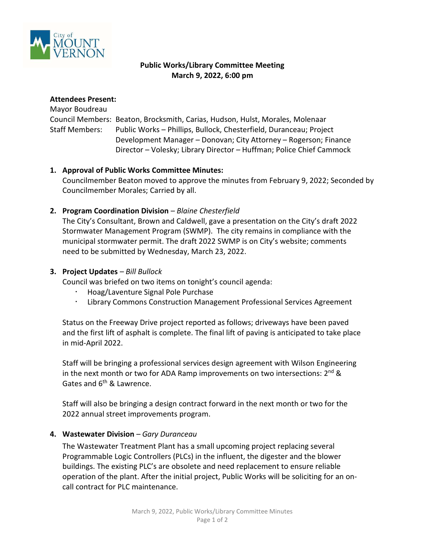

### **Public Works/Library Committee Meeting March 9, 2022, 6:00 pm**

#### **Attendees Present:**

# Mayor Boudreau Council Members: Beaton, Brocksmith, Carias, Hudson, Hulst, Morales, Molenaar Staff Members: Public Works – Phillips, Bullock, Chesterfield, Duranceau; Project Development Manager – Donovan; City Attorney – Rogerson; Finance Director – Volesky; Library Director – Huffman; Police Chief Cammock

# **1. Approval of Public Works Committee Minutes:**

Councilmember Beaton moved to approve the minutes from February 9, 2022; Seconded by Councilmember Morales; Carried by all.

# **2. Program Coordination Division** *– Blaine Chesterfield*

The City's Consultant, Brown and Caldwell, gave a presentation on the City's draft 2022 Stormwater Management Program (SWMP). The city remains in compliance with the municipal stormwater permit. The draft 2022 SWMP is on City's website; comments need to be submitted by Wednesday, March 23, 2022.

# **3. Project Updates** *– Bill Bullock*

Council was briefed on two items on tonight's council agenda:

- Hoag/Laventure Signal Pole Purchase
- Library Commons Construction Management Professional Services Agreement

Status on the Freeway Drive project reported as follows; driveways have been paved and the first lift of asphalt is complete. The final lift of paving is anticipated to take place in mid-April 2022.

Staff will be bringing a professional services design agreement with Wilson Engineering in the next month or two for ADA Ramp improvements on two intersections: 2<sup>nd</sup> & Gates and 6<sup>th</sup> & Lawrence.

Staff will also be bringing a design contract forward in the next month or two for the 2022 annual street improvements program.

# **4. Wastewater Division** *– Gary Duranceau*

The Wastewater Treatment Plant has a small upcoming project replacing several Programmable Logic Controllers (PLCs) in the influent, the digester and the blower buildings. The existing PLC's are obsolete and need replacement to ensure reliable operation of the plant. After the initial project, Public Works will be soliciting for an oncall contract for PLC maintenance.